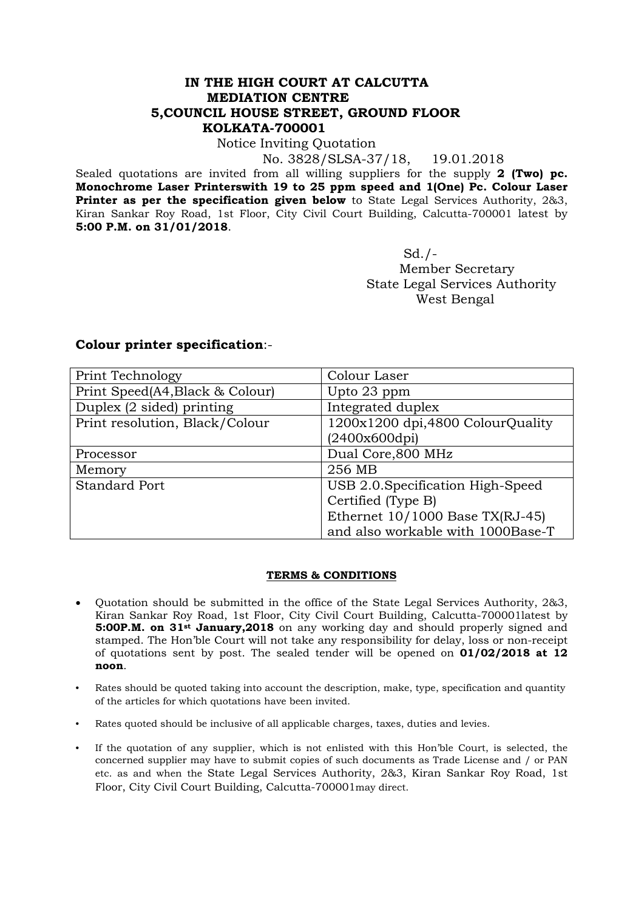## **IN THE HIGH COURT AT CALCUTTA MEDIATION CENTRE 5,COUNCIL HOUSE STREET, GROUND FLOOR KOLKATA-700001**

## Notice Inviting Quotation

No. 3828/SLSA-37/18, 19.01.2018

Sealed quotations are invited from all willing suppliers for the supply **2 (Two) pc. Monochrome Laser Printerswith 19 to 25 ppm speed and 1(One) Pc. Colour Laser Printer as per the specification given below** to State Legal Services Authority, 2&3, Kiran Sankar Roy Road, 1st Floor, City Civil Court Building, Calcutta-700001 latest by **5:00 P.M. on 31/01/2018**.

 Sd./- Member Secretary State Legal Services Authority West Bengal

## **Colour printer specification**:-

| Print Technology                | Colour Laser                      |
|---------------------------------|-----------------------------------|
| Print Speed(A4, Black & Colour) | Upto 23 ppm                       |
| Duplex (2 sided) printing       | Integrated duplex                 |
| Print resolution, Black/Colour  | 1200x1200 dpi,4800 ColourQuality  |
|                                 | (2400x600dpi)                     |
| Processor                       | Dual Core,800 MHz                 |
| Memory                          | 256 MB                            |
| <b>Standard Port</b>            | USB 2.0.Specification High-Speed  |
|                                 | Certified (Type B)                |
|                                 | Ethernet $10/1000$ Base TX(RJ-45) |
|                                 | and also workable with 1000Base-T |

## **TERMS & CONDITIONS**

- Quotation should be submitted in the office of the State Legal Services Authority, 2&3, Kiran Sankar Roy Road, 1st Floor, City Civil Court Building, Calcutta-700001latest by **5:00P.M. on 31<sup>st</sup> January, 2018** on any working day and should properly signed and stamped. The Hon'ble Court will not take any responsibility for delay, loss or non-receipt of quotations sent by post. The sealed tender will be opened on **01/02/2018 at 12 noon**.
- Rates should be quoted taking into account the description, make, type, specification and quantity of the articles for which quotations have been invited.
- Rates quoted should be inclusive of all applicable charges, taxes, duties and levies.
- If the quotation of any supplier, which is not enlisted with this Hon'ble Court, is selected, the concerned supplier may have to submit copies of such documents as Trade License and / or PAN etc. as and when the State Legal Services Authority, 2&3, Kiran Sankar Roy Road, 1st Floor, City Civil Court Building, Calcutta-700001may direct.